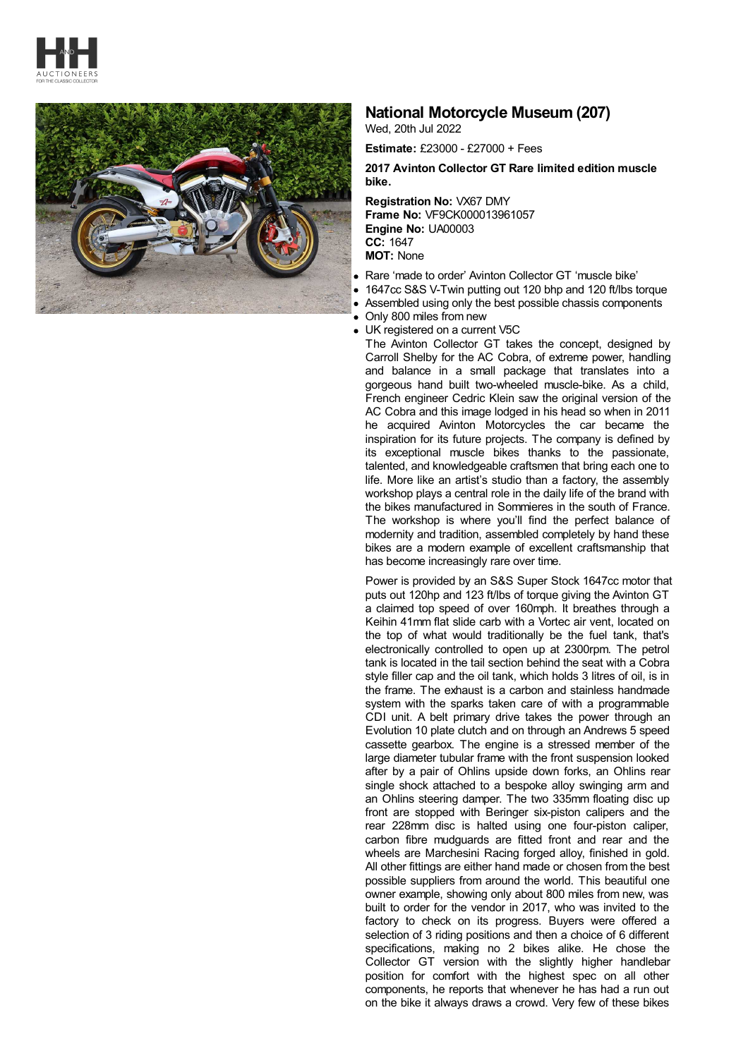



## **National Motorcycle Museum (207)**

Wed, 20th Jul 2022 **Estimate:** £23000 - £27000 + Fees

**2017 Avinton Collector GT Rare limited edition muscle bike.**

**Registration No:** VX67 DMY **Frame No:** VF9CK000013961057 **Engine No:** UA00003 **CC:** 1647 **MOT:** None

- Rare 'made to order' Avinton Collector GT 'muscle bike'
- 1647cc S&S V-Twin putting out 120 bhp and 120 ft/lbs torque
- Assembled using only the best possible chassis components
- Only 800 miles from new
- UK registered on a current V5C  $\bullet$

The Avinton Collector GT takes the concept, designed by Carroll Shelby for the AC Cobra, of extreme power, handling and balance in a small package that translates into a gorgeous hand built two-wheeled muscle-bike. As a child, French engineer Cedric Klein saw the original version of the AC Cobra and this image lodged in his head so when in 2011 he acquired Avinton Motorcycles the car became the inspiration for its future projects. The company is defined by its exceptional muscle bikes thanks to the passionate, talented, and knowledgeable craftsmen that bring each one to life. More like an artist's studio than a factory, the assembly workshop plays a central role in the daily life of the brand with the bikes manufactured in Sommieres in the south of France. The workshop is where you'll find the perfect balance of modernity and tradition, assembled completely by hand these bikes are a modern example of excellent craftsmanship that has become increasingly rare over time.

Power is provided by an S&S Super Stock 1647cc motor that puts out 120hp and 123 ft/lbs of torque giving the Avinton GT a claimed top speed of over 160mph. It breathes through a Keihin 41mm flat slide carb with a Vortec air vent, located on the top of what would traditionally be the fuel tank, that's electronically controlled to open up at 2300rpm. The petrol tank is located in the tail section behind the seat with a Cobra style filler cap and the oil tank, which holds 3 litres of oil, is in the frame. The exhaust is a carbon and stainless handmade system with the sparks taken care of with a programmable CDI unit. A belt primary drive takes the power through an Evolution 10 plate clutch and on through an Andrews 5 speed cassette gearbox. The engine is a stressed member of the large diameter tubular frame with the front suspension looked after by a pair of Ohlins upside down forks, an Ohlins rear single shock attached to a bespoke alloy swinging arm and an Ohlins steering damper. The two 335mm floating disc up front are stopped with Beringer six-piston calipers and the rear 228mm disc is halted using one four-piston caliper, carbon fibre mudguards are fitted front and rear and the wheels are Marchesini Racing forged alloy, finished in gold. All other fittings are either hand made or chosen from the best possible suppliers from around the world. This beautiful one owner example, showing only about 800 miles from new, was built to order for the vendor in 2017, who was invited to the factory to check on its progress. Buyers were offered a selection of 3 riding positions and then a choice of 6 different specifications, making no 2 bikes alike. He chose the Collector GT version with the slightly higher handlebar position for comfort with the highest spec on all other components, he reports that whenever he has had a run out on the bike it always draws a crowd. Very few of these bikes